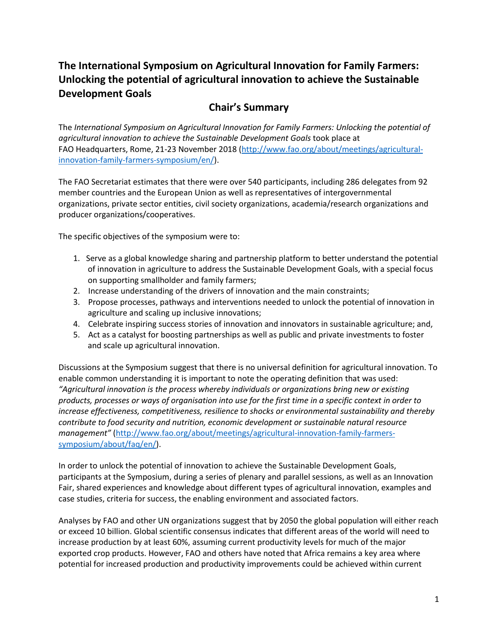# **The International Symposium on Agricultural Innovation for Family Farmers: Unlocking the potential of agricultural innovation to achieve the Sustainable Development Goals**

# **Chair's Summary**

The *International Symposium on Agricultural Innovation for Family Farmers: Unlocking the potential of agricultural innovation to achieve the Sustainable Development Goals* took place at FAO Headquarters, Rome, 21-23 November 2018 [\(http://www.fao.org/about/meetings/agricultural](http://www.fao.org/about/meetings/agricultural-innovation-family-farmers-symposium/en/)[innovation-family-farmers-symposium/en/\)](http://www.fao.org/about/meetings/agricultural-innovation-family-farmers-symposium/en/).

The FAO Secretariat estimates that there were over 540 participants, including 286 delegates from 92 member countries and the European Union as well as representatives of intergovernmental organizations, private sector entities, civil society organizations, academia/research organizations and producer organizations/cooperatives.

The specific objectives of the symposium were to:

- 1. Serve as a global knowledge sharing and partnership platform to better understand the potential of innovation in agriculture to address the Sustainable Development Goals, with a special focus on supporting smallholder and family farmers;
- 2. Increase understanding of the drivers of innovation and the main constraints;
- 3. Propose processes, pathways and interventions needed to unlock the potential of innovation in agriculture and scaling up inclusive innovations;
- 4. Celebrate inspiring success stories of innovation and innovators in sustainable agriculture; and,
- 5. Act as a catalyst for boosting partnerships as well as public and private investments to foster and scale up agricultural innovation.

Discussions at the Symposium suggest that there is no universal definition for agricultural innovation. To enable common understanding it is important to note the operating definition that was used: *"Agricultural innovation is the process whereby individuals or organizations bring new or existing products, processes or ways of organisation into use for the first time in a specific context in order to increase effectiveness, competitiveness, resilience to shocks or environmental sustainability and thereby contribute to food security and nutrition, economic development or sustainable natural resource management"* [\(http://www.fao.org/about/meetings/agricultural-innovation-family-farmers](http://www.fao.org/about/meetings/agricultural-innovation-family-farmers-symposium/about/faq/en/)[symposium/about/faq/en/\)](http://www.fao.org/about/meetings/agricultural-innovation-family-farmers-symposium/about/faq/en/).

In order to unlock the potential of innovation to achieve the Sustainable Development Goals, participants at the Symposium, during a series of plenary and parallel sessions, as well as an Innovation Fair, shared experiences and knowledge about different types of agricultural innovation, examples and case studies, criteria for success, the enabling environment and associated factors.

Analyses by FAO and other UN organizations suggest that by 2050 the global population will either reach or exceed 10 billion. Global scientific consensus indicates that different areas of the world will need to increase production by at least 60%, assuming current productivity levels for much of the major exported crop products. However, FAO and others have noted that Africa remains a key area where potential for increased production and productivity improvements could be achieved within current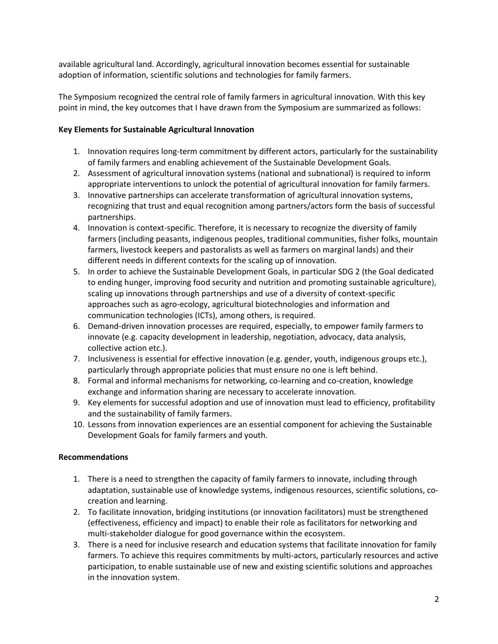available agricultural land. Accordingly, agricultural innovation becomes essential for sustainable adoption of information, scientific solutions and technologies for family farmers.

The Symposium recognized the central role of family farmers in agricultural innovation. With this key point in mind, the key outcomes that I have drawn from the Symposium are summarized as follows:

#### **Key Elements for Sustainable Agricultural Innovation**

- 1. Innovation requires long-term commitment by different actors, particularly for the sustainability of family farmers and enabling achievement of the Sustainable Development Goals.
- 2. Assessment of agricultural innovation systems (national and subnational) is required to inform appropriate interventions to unlock the potential of agricultural innovation for family farmers.
- 3. Innovative partnerships can accelerate transformation of agricultural innovation systems, recognizing that trust and equal recognition among partners/actors form the basis of successful partnerships.
- 4. Innovation is context-specific. Therefore, it is necessary to recognize the diversity of family farmers (including peasants, indigenous peoples, traditional communities, fisher folks, mountain farmers, livestock keepers and pastoralists as well as farmers on marginal lands) and their different needs in different contexts for the scaling up of innovation.
- 5. In order to achieve the Sustainable Development Goals, in particular SDG 2 (the Goal dedicated to ending hunger, improving food security and nutrition and promoting sustainable agriculture), scaling up innovations through partnerships and use of a diversity of context-specific approaches such as agro-ecology, agricultural biotechnologies and information and communication technologies (ICTs), among others, is required.
- 6. Demand-driven innovation processes are required, especially, to empower family farmers to innovate (e.g. capacity development in leadership, negotiation, advocacy, data analysis, collective action etc.).
- 7. Inclusiveness is essential for effective innovation (e.g. gender, youth, indigenous groups etc.), particularly through appropriate policies that must ensure no one is left behind.
- 8. Formal and informal mechanisms for networking, co-learning and co-creation, knowledge exchange and information sharing are necessary to accelerate innovation.
- 9. Key elements for successful adoption and use of innovation must lead to efficiency, profitability and the sustainability of family farmers.
- 10. Lessons from innovation experiences are an essential component for achieving the Sustainable Development Goals for family farmers and youth.

## **Recommendations**

- 1. There is a need to strengthen the capacity of family farmers to innovate, including through adaptation, sustainable use of knowledge systems, indigenous resources, scientific solutions, cocreation and learning.
- 2. To facilitate innovation, bridging institutions (or innovation facilitators) must be strengthened (effectiveness, efficiency and impact) to enable their role as facilitators for networking and multi-stakeholder dialogue for good governance within the ecosystem.
- 3. There is a need for inclusive research and education systems that facilitate innovation for family farmers. To achieve this requires commitments by multi-actors, particularly resources and active participation, to enable sustainable use of new and existing scientific solutions and approaches in the innovation system.